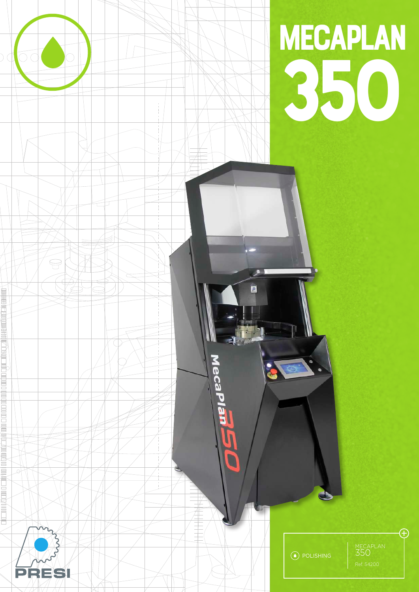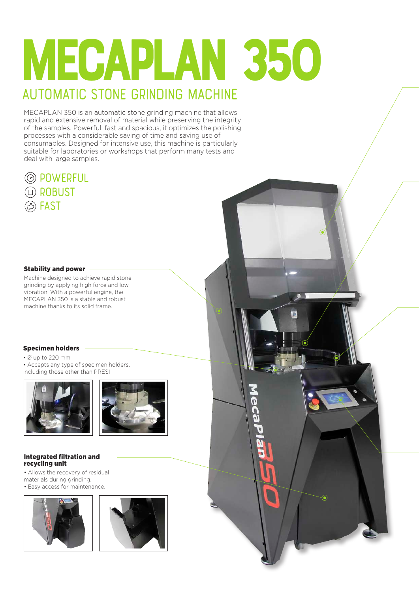# mecaplan 350 **automatic stone grinding machine**

 $\odot$ 

6

 $\overline{\Omega}$ 

MECAPLAN 350 is an automatic stone grinding machine that allows rapid and extensive removal of material while preserving the integrity of the samples. Powerful, fast and spacious, it optimizes the polishing processes with a considerable saving of time and saving use of consumables. Designed for intensive use, this machine is particularly suitable for laboratories or workshops that perform many tests and deal with large samples.



#### Stability and power

Machine designed to achieve rapid stone grinding by applying high force and low vibration. With a powerful engine, the MECAPLAN 350 is a stable and robust machine thanks to its solid frame.

#### Specimen holders

• Ø up to 220 mm

• Accepts any type of specimen holders, including those other than PRESI





#### Integrated filtration and recycling unit

• Allows the recovery of residual materials during grinding.

• Easy access for maintenance.



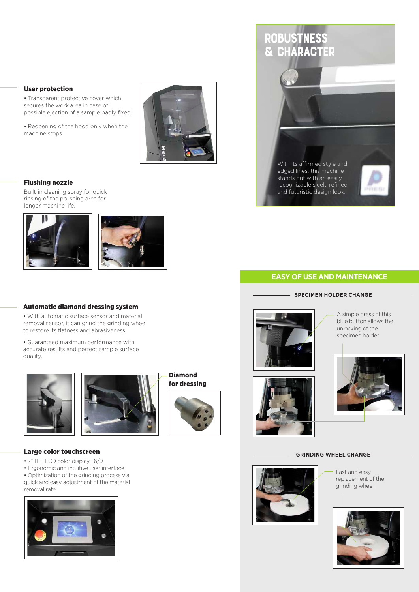#### User protection

• Transparent protective cover which secures the work area in case of possible ejection of a sample badly fixed.

• Reopening of the hood only when the machine stops.



### Flushing nozzle

Built-in cleaning spray for quick rinsing of the polishing area for longer machine life.





#### Automatic diamond dressing system

• With automatic surface sensor and material removal sensor, it can grind the grinding wheel to restore its flatness and abrasiveness.

• Guaranteed maximum performance with accurate results and perfect sample surface quality.





Diamond for dressing





edged lines, this machine stands out with an easily recognizable sleek, refined and futuristic design look.



## **EASY OF USE AND MAINTENANCE**

**SPECIMEN HOLDER CHANGE -**

A simple press of this blue button allows the unlocking of the specimen holder



#### **GRINDING WHEEL CHANGE**



Fast and easy replacement of the grinding wheel



Large color touchscreen

- 7''TFT LCD color display, 16/9
- Ergonomic and intuitive user interface
- Optimization of the grinding process via quick and easy adjustment of the material removal rate.